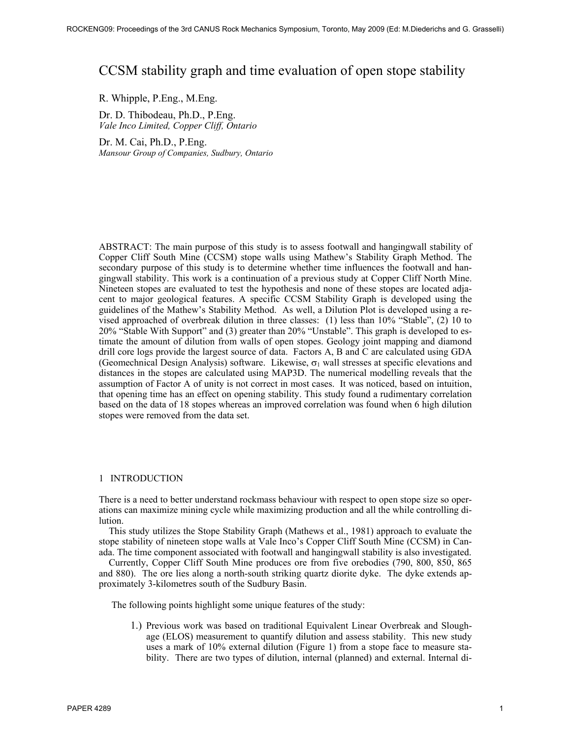# CCSM stability graph and time evaluation of open stope stability

R. Whipple, P.Eng., M.Eng.

Dr. D. Thibodeau, Ph.D., P.Eng. *Vale Inco Limited, Copper Cliff, Ontario* 

Dr. M. Cai, Ph.D., P.Eng. *Mansour Group of Companies, Sudbury, Ontario* 

ABSTRACT: The main purpose of this study is to assess footwall and hangingwall stability of Copper Cliff South Mine (CCSM) stope walls using Mathew's Stability Graph Method. The secondary purpose of this study is to determine whether time influences the footwall and hangingwall stability. This work is a continuation of a previous study at Copper Cliff North Mine. Nineteen stopes are evaluated to test the hypothesis and none of these stopes are located adjacent to major geological features. A specific CCSM Stability Graph is developed using the guidelines of the Mathew's Stability Method. As well, a Dilution Plot is developed using a revised approached of overbreak dilution in three classes: (1) less than 10% "Stable", (2) 10 to 20% "Stable With Support" and (3) greater than 20% "Unstable". This graph is developed to estimate the amount of dilution from walls of open stopes. Geology joint mapping and diamond drill core logs provide the largest source of data. Factors A, B and C are calculated using GDA (Geomechnical Design Analysis) software. Likewise,  $\sigma_1$  wall stresses at specific elevations and distances in the stopes are calculated using MAP3D. The numerical modelling reveals that the assumption of Factor A of unity is not correct in most cases. It was noticed, based on intuition, that opening time has an effect on opening stability. This study found a rudimentary correlation based on the data of 18 stopes whereas an improved correlation was found when 6 high dilution stopes were removed from the data set.

# 1 INTRODUCTION

There is a need to better understand rockmass behaviour with respect to open stope size so operations can maximize mining cycle while maximizing production and all the while controlling dilution.

This study utilizes the Stope Stability Graph (Mathews et al., 1981) approach to evaluate the stope stability of nineteen stope walls at Vale Inco's Copper Cliff South Mine (CCSM) in Canada. The time component associated with footwall and hangingwall stability is also investigated.

Currently, Copper Cliff South Mine produces ore from five orebodies (790, 800, 850, 865 and 880). The ore lies along a north-south striking quartz diorite dyke. The dyke extends approximately 3-kilometres south of the Sudbury Basin.

The following points highlight some unique features of the study:

1.) Previous work was based on traditional Equivalent Linear Overbreak and Sloughage (ELOS) measurement to quantify dilution and assess stability. This new study uses a mark of 10% external dilution (Figure 1) from a stope face to measure stability. There are two types of dilution, internal (planned) and external. Internal di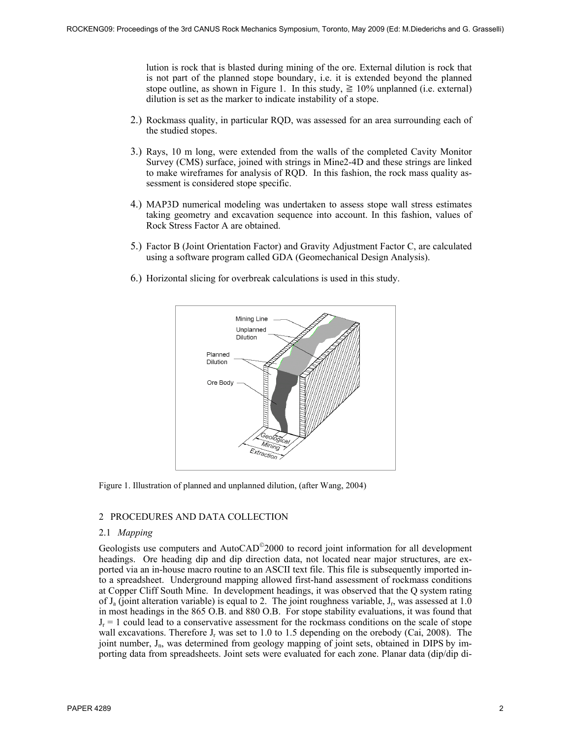lution is rock that is blasted during mining of the ore. External dilution is rock that is not part of the planned stope boundary, i.e. it is extended beyond the planned stope outline, as shown in Figure 1. In this study,  $\geq 10\%$  unplanned (i.e. external) dilution is set as the marker to indicate instability of a stope.

- 2.) Rockmass quality, in particular RQD, was assessed for an area surrounding each of the studied stopes.
- 3.) Rays, 10 m long, were extended from the walls of the completed Cavity Monitor Survey (CMS) surface, joined with strings in Mine2-4D and these strings are linked to make wireframes for analysis of RQD. In this fashion, the rock mass quality assessment is considered stope specific.
- 4.) MAP3D numerical modeling was undertaken to assess stope wall stress estimates taking geometry and excavation sequence into account. In this fashion, values of Rock Stress Factor A are obtained.
- 5.) Factor B (Joint Orientation Factor) and Gravity Adjustment Factor C, are calculated using a software program called GDA (Geomechanical Design Analysis).
- 6.) Horizontal slicing for overbreak calculations is used in this study.



Figure 1. Illustration of planned and unplanned dilution, (after Wang, 2004)

## 2 PROCEDURES AND DATA COLLECTION

## 2.1 *Mapping*

Geologists use computers and AutoCAD<sup>©</sup>2000 to record joint information for all development headings. Ore heading dip and dip direction data, not located near major structures, are exported via an in-house macro routine to an ASCII text file. This file is subsequently imported into a spreadsheet. Underground mapping allowed first-hand assessment of rockmass conditions at Copper Cliff South Mine. In development headings, it was observed that the Q system rating of  $J_a$  (joint alteration variable) is equal to 2. The joint roughness variable,  $J_r$ , was assessed at 1.0 in most headings in the 865 O.B. and 880 O.B. For stope stability evaluations, it was found that  $J_r = 1$  could lead to a conservative assessment for the rockmass conditions on the scale of stope wall excavations. Therefore  $J_r$  was set to 1.0 to 1.5 depending on the orebody (Cai, 2008). The joint number,  $J_n$ , was determined from geology mapping of joint sets, obtained in DIPS by importing data from spreadsheets. Joint sets were evaluated for each zone. Planar data (dip/dip di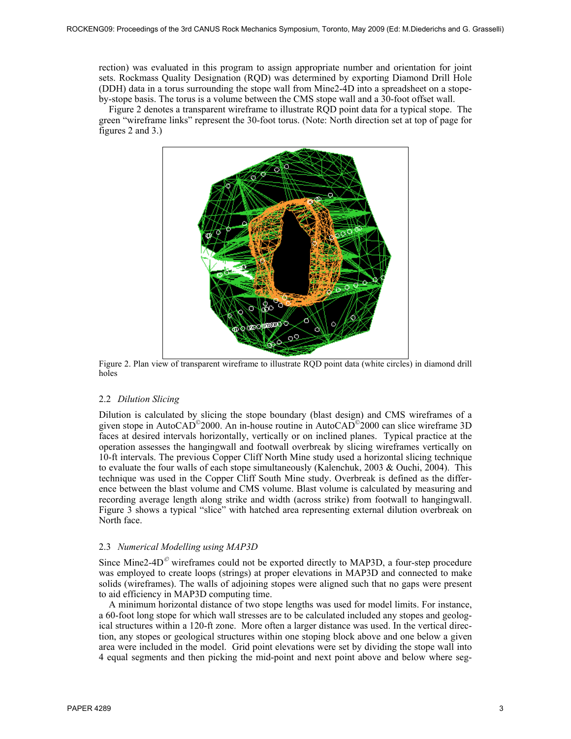rection) was evaluated in this program to assign appropriate number and orientation for joint sets. Rockmass Quality Designation (RQD) was determined by exporting Diamond Drill Hole (DDH) data in a torus surrounding the stope wall from Mine2-4D into a spreadsheet on a stopeby-stope basis. The torus is a volume between the CMS stope wall and a 30-foot offset wall.

Figure 2 denotes a transparent wireframe to illustrate RQD point data for a typical stope. The green "wireframe links" represent the 30-foot torus. (Note: North direction set at top of page for figures 2 and 3.)



Figure 2. Plan view of transparent wireframe to illustrate RQD point data (white circles) in diamond drill holes

## 2.2 *Dilution Slicing*

Dilution is calculated by slicing the stope boundary (blast design) and CMS wireframes of a given stope in AutoCAD©2000. An in-house routine in AutoCAD©2000 can slice wireframe 3D faces at desired intervals horizontally, vertically or on inclined planes. Typical practice at the operation assesses the hangingwall and footwall overbreak by slicing wireframes vertically on 10-ft intervals. The previous Copper Cliff North Mine study used a horizontal slicing technique to evaluate the four walls of each stope simultaneously (Kalenchuk, 2003 & Ouchi, 2004). This technique was used in the Copper Cliff South Mine study. Overbreak is defined as the difference between the blast volume and CMS volume. Blast volume is calculated by measuring and recording average length along strike and width (across strike) from footwall to hangingwall. Figure 3 shows a typical "slice" with hatched area representing external dilution overbreak on North face.

## 2.3 *Numerical Modelling using MAP3D*

Since Mine2-4 $D^{\circ}$  wireframes could not be exported directly to MAP3D, a four-step procedure was employed to create loops (strings) at proper elevations in MAP3D and connected to make solids (wireframes). The walls of adjoining stopes were aligned such that no gaps were present to aid efficiency in MAP3D computing time.

A minimum horizontal distance of two stope lengths was used for model limits. For instance, a 60-foot long stope for which wall stresses are to be calculated included any stopes and geological structures within a 120-ft zone. More often a larger distance was used. In the vertical direction, any stopes or geological structures within one stoping block above and one below a given area were included in the model. Grid point elevations were set by dividing the stope wall into 4 equal segments and then picking the mid-point and next point above and below where seg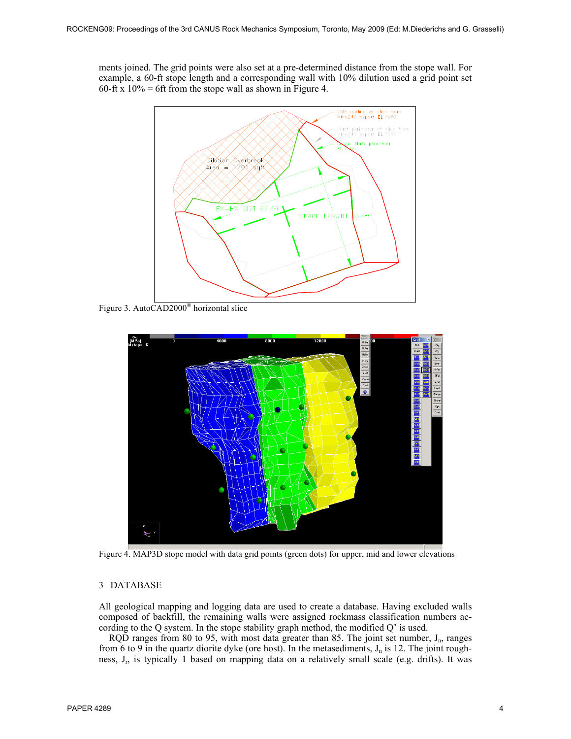ments joined. The grid points were also set at a pre-determined distance from the stope wall. For example, a 60-ft stope length and a corresponding wall with 10% dilution used a grid point set 60-ft x  $10\%$  = 6ft from the stope wall as shown in Figure 4.



Figure 3. AutoCAD2000® horizontal slice



Figure 4. MAP3D stope model with data grid points (green dots) for upper, mid and lower elevations

# 3 DATABASE

All geological mapping and logging data are used to create a database. Having excluded walls composed of backfill, the remaining walls were assigned rockmass classification numbers according to the Q system. In the stope stability graph method, the modified Q' is used.

ROD ranges from 80 to 95, with most data greater than 85. The joint set number,  $J_n$ , ranges from 6 to 9 in the quartz diorite dyke (ore host). In the metasediments,  $J_n$  is 12. The joint roughness, Jr, is typically 1 based on mapping data on a relatively small scale (e.g. drifts). It was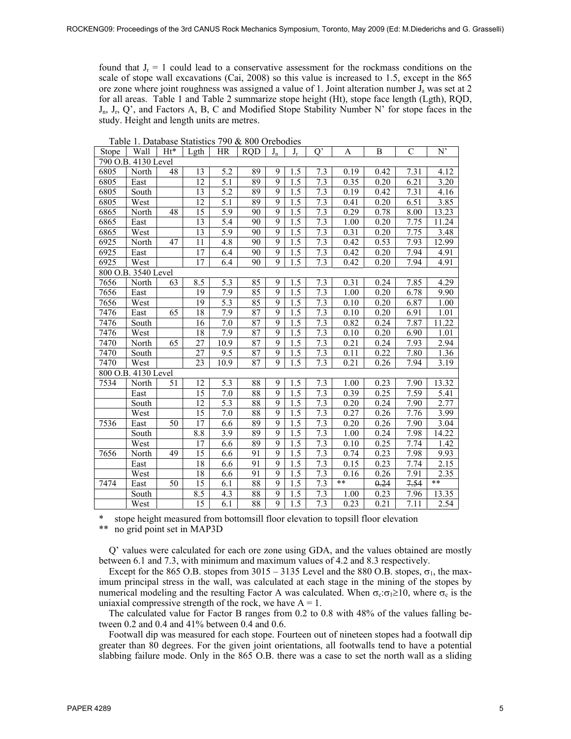found that  $J_r = 1$  could lead to a conservative assessment for the rockmass conditions on the scale of stope wall excavations (Cai, 2008) so this value is increased to 1.5, except in the 865 ore zone where joint roughness was assigned a value of 1. Joint alteration number  $\tilde{J}_a$  was set at 2 for all areas. Table 1 and Table 2 summarize stope height (Ht), stope face length (Lgth), RQD,  $J_n$ ,  $J_r$ ,  $Q'$ , and Factors A, B, C and Modified Stope Stability Number N' for stope faces in the study. Height and length units are metres.

| Stope | Wall                | $Ht^*$          | Lgth            | <b>HR</b>        | <b>ROD</b>      | $J_{n}$        | $J_r$            | $\mathbf{Q}^{\prime}$ | A    | B    | $\mathcal{C}$     | N'    |
|-------|---------------------|-----------------|-----------------|------------------|-----------------|----------------|------------------|-----------------------|------|------|-------------------|-------|
|       | 790 O.B. 4130 Level |                 |                 |                  |                 |                |                  |                       |      |      |                   |       |
| 6805  | North               | 48              | 13              | 5.2              | 89              | 9              | 1.5              | 7.3                   | 0.19 | 0.42 | 7.31              | 4.12  |
| 6805  | East                |                 | 12              | $\overline{5.1}$ | 89              | 9              | 1.5              | 7.3                   | 0.35 | 0.20 | 6.21              | 3.20  |
| 6805  | South               |                 | 13              | 5.2              | 89              | 9              | 1.5              | 7.3                   | 0.19 | 0.42 | 7.31              | 4.16  |
| 6805  | West                |                 | 12              | 5.1              | 89              | 9              | 1.5              | 7.3                   | 0.41 | 0.20 | 6.51              | 3.85  |
| 6865  | North               | 48              | 15              | $\overline{5.9}$ | 90              | 9              | 1.5              | 7.3                   | 0.29 | 0.78 | 8.00              | 13.23 |
| 6865  | East                |                 | $\overline{13}$ | 5.4              | 90              | $\overline{9}$ | 1.5              | 7.3                   | 1.00 | 0.20 | 7.75              | 11.24 |
| 6865  | West                |                 | 13              | $\overline{5.9}$ | 90              | 9              | 1.5              | 7.3                   | 0.31 | 0.20 | 7.75              | 3.48  |
| 6925  | North               | 47              | 11              | $\overline{4.8}$ | 90              | 9              | $\overline{1.5}$ | 7.3                   | 0.42 | 0.53 | 7.93              | 12.99 |
| 6925  | East                |                 | 17              | 6.4              | 90              | 9              | 1.5              | 7.3                   | 0.42 | 0.20 | 7.94              | 4.91  |
| 6925  | West                |                 | $\overline{17}$ | 6.4              | 90              | 9              | 1.5              | 7.3                   | 0.42 | 0.20 | 7.94              | 4.91  |
|       | 800 O.B. 3540 Level |                 |                 |                  |                 |                |                  |                       |      |      |                   |       |
| 7656  | North               | 63              | 8.5             | 5.3              | 85              | 9              | 1.5              | 7.3                   | 0.31 | 0.24 | 7.85              | 4.29  |
| 7656  | East                |                 | 19              | 7.9              | 85              | 9              | 1.5              | 7.3                   | 1.00 | 0.20 | 6.78              | 9.90  |
| 7656  | West                |                 | 19              | 5.3              | 85              | 9              | 1.5              | $\overline{7.3}$      | 0.10 | 0.20 | 6.87              | 1.00  |
| 7476  | East                | 65              | 18              | 7.9              | $\overline{87}$ | 9              | 1.5              | 7.3                   | 0.10 | 0.20 | 6.91              | 1.01  |
| 7476  | South               |                 | 16              | 7.0              | $\overline{87}$ | 9              | 1.5              | 7.3                   | 0.82 | 0.24 | 7.87              | 11.22 |
| 7476  | West                |                 | 18              | 7.9              | 87              | 9              | 1.5              | 7.3                   | 0.10 | 0.20 | 6.90              | 1.01  |
| 7470  | North               | 65              | $\overline{27}$ | 10.9             | 87              | 9              | $\overline{1.5}$ | $\overline{7.3}$      | 0.21 | 0.24 | 7.93              | 2.94  |
| 7470  | South               |                 | 27              | 9.5              | 87              | 9              | 1.5              | 7.3                   | 0.11 | 0.22 | 7.80              | 1.36  |
| 7470  | West                |                 | 23              | 10.9             | 87              | 9              | 1.5              | 7.3                   | 0.21 | 0.26 | 7.94              | 3.19  |
|       | 800 O.B. 4130 Level |                 |                 |                  |                 |                |                  |                       |      |      |                   |       |
| 7534  | North               | 51              | $\overline{12}$ | 5.3              | 88              | 9              | $\overline{1.5}$ | $\overline{7.3}$      | 1.00 | 0.23 | 7.90              | 13.32 |
|       | East                |                 | 15              | 7.0              | 88              | 9              | $\overline{1.5}$ | 7.3                   | 0.39 | 0.25 | 7.59              | 5.41  |
|       | South               |                 | 12              | 5.3              | 88              | 9              | 1.5              | 7.3                   | 0.20 | 0.24 | 7.90              | 2.77  |
|       | West                |                 | 15              | 7.0              | 88              | 9              | 1.5              | 7.3                   | 0.27 | 0.26 | 7.76              | 3.99  |
| 7536  | East                | $\overline{50}$ | $\overline{17}$ | 6.6              | 89              | $\overline{9}$ | $\overline{1.5}$ | 7.3                   | 0.20 | 0.26 | 7.90              | 3.04  |
|       | South               |                 | 8.8             | 3.9              | 89              | $\overline{9}$ | $\overline{1.5}$ | $\overline{7.3}$      | 1.00 | 0.24 | 7.98              | 14.22 |
|       | West                |                 | 17              | 6.6              | 89              | 9              | 1.5              | 7.3                   | 0.10 | 0.25 | 7.74              | 1.42  |
| 7656  | North               | 49              | 15              | 6.6              | 91              | 9              | 1.5              | 7.3                   | 0.74 | 0.23 | 7.98              | 9.93  |
|       | East                |                 | 18              | 6.6              | 91              | 9              | $\overline{1.5}$ | 7.3                   | 0.15 | 0.23 | 7.74              | 2.15  |
|       | West                |                 | 18              | 6.6              | 91              | 9              | 1.5              | 7.3                   | 0.16 | 0.26 | 7.91              | 2.35  |
| 7474  | East                | 50              | 15              | 6.1              | 88              | 9              | 1.5              | 7.3                   | $**$ | 0.24 | 7.54              | $**$  |
|       | South               |                 | 8.5             | 4.3              | 88              | 9              | 1.5              | 7.3                   | 1.00 | 0.23 | 7.96              | 13.35 |
|       | West                |                 | $\overline{15}$ | 6.1              | 88              | $\overline{9}$ | $\overline{1.5}$ | $\overline{7.3}$      | 0.23 | 0.21 | $\overline{7.11}$ | 2.54  |

Table 1. Database Statistics 790 & 800 Orebodies

stope height measured from bottomsill floor elevation to topsill floor elevation

\*\* no grid point set in MAP3D

Q' values were calculated for each ore zone using GDA, and the values obtained are mostly between 6.1 and 7.3, with minimum and maximum values of 4.2 and 8.3 respectively.

Except for the 865 O.B. stopes from  $3015 - 3135$  Level and the 880 O.B. stopes,  $\sigma_1$ , the maximum principal stress in the wall, was calculated at each stage in the mining of the stopes by numerical modeling and the resulting Factor A was calculated. When  $\sigma_c$ : $\sigma_1 \ge 10$ , where  $\sigma_c$  is the uniaxial compressive strength of the rock, we have  $A = 1$ .

The calculated value for Factor B ranges from 0.2 to 0.8 with 48% of the values falling between 0.2 and 0.4 and 41% between 0.4 and 0.6.

Footwall dip was measured for each stope. Fourteen out of nineteen stopes had a footwall dip greater than 80 degrees. For the given joint orientations, all footwalls tend to have a potential slabbing failure mode. Only in the 865 O.B. there was a case to set the north wall as a sliding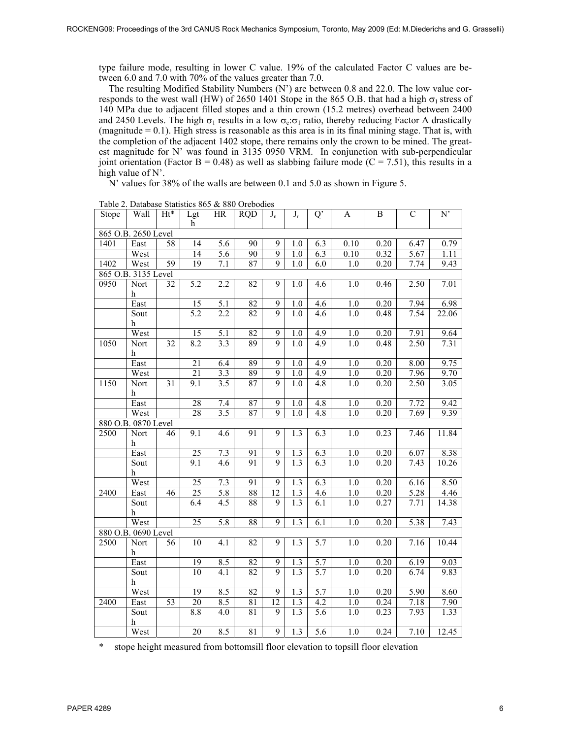type failure mode, resulting in lower C value. 19% of the calculated Factor C values are between 6.0 and 7.0 with 70% of the values greater than 7.0.

The resulting Modified Stability Numbers (N') are between 0.8 and 22.0. The low value corresponds to the west wall (HW) of 2650 1401 Stope in the 865 O.B. that had a high  $\sigma_1$  stress of 140 MPa due to adjacent filled stopes and a thin crown (15.2 metres) overhead between 2400 and 2450 Levels. The high  $\sigma_1$  results in a low  $\sigma_c$ : $\sigma_1$  ratio, thereby reducing Factor A drastically (magnitude  $= 0.1$ ). High stress is reasonable as this area is in its final mining stage. That is, with the completion of the adjacent 1402 stope, there remains only the crown to be mined. The greatest magnitude for N' was found in 3135 0950 VRM. In conjunction with sub-perpendicular joint orientation (Factor B = 0.48) as well as slabbing failure mode ( $C = 7.51$ ), this results in a high value of N'.

N' values for 38% of the walls are between 0.1 and 5.0 as shown in Figure 5.

| Stope | Wall                              | $Ht*$           | Lgt<br>$\mathbf h$ | HR               | <b>RQD</b>      | $J_n$           | $J_r$            | Q'               | A                 | B    | $\mathsf{C}$      | N'                |
|-------|-----------------------------------|-----------------|--------------------|------------------|-----------------|-----------------|------------------|------------------|-------------------|------|-------------------|-------------------|
|       | 865 O.B. 2650 Level               |                 |                    |                  |                 |                 |                  |                  |                   |      |                   |                   |
| 1401  | East                              | 58              | 14                 | 5.6              | $\overline{90}$ | 9               | 1.0              | 6.3              | $\overline{0.10}$ | 0.20 | 6.47              | 0.79              |
|       | West                              |                 | 14                 | $\overline{5.6}$ | $\overline{90}$ | $\overline{9}$  | 1.0              | 6.3              | 0.10              | 0.32 | $\overline{5.67}$ | 1.11              |
| 1402  | West                              | 59              | $\overline{19}$    | $\overline{7.1}$ | 87              | 9               | $\overline{1.0}$ | 6.0              | 1.0               | 0.20 | 7.74              | 9.43              |
|       | 865 O.B. 3135 Level               |                 |                    |                  |                 |                 |                  |                  |                   |      |                   |                   |
| 0950  | Nort<br>h                         | 32              | $\overline{5.2}$   | 2.2              | $\overline{82}$ | $\overline{9}$  | $\overline{1.0}$ | 4.6              | 1.0               | 0.46 | 2.50              | 7.01              |
|       | East                              |                 | 15                 | $\overline{5.1}$ | 82              | $\overline{9}$  | $1.0\,$          | 4.6              | $1.0\,$           | 0.20 | 7.94              | 6.98              |
|       | Sout<br>h                         |                 | 5.2                | 2.2              | 82              | $\overline{9}$  | 1.0              | 4.6              | 1.0               | 0.48 | 7.54              | 22.06             |
|       | West                              |                 | $\overline{15}$    | 5.1              | 82              | $\overline{9}$  | 1.0              | 4.9              | $1.0\,$           | 0.20 | 7.91              | 9.64              |
| 1050  | Nort<br>h                         | 32              | 8.2                | $\overline{3.3}$ | 89              | $\overline{9}$  | 1.0              | 4.9              | 1.0               | 0.48 | 2.50              | 7.31              |
|       | East                              |                 | $\overline{21}$    | 6.4              | 89              | 9               | 1.0              | $\overline{4.9}$ | 1.0               | 0.20 | 8.00              | 9.75              |
|       | West                              |                 | 21                 | 3.3              | 89              | 9               | 1.0              | 4.9              | $\overline{1.0}$  | 0.20 | 7.96              | 9.70              |
| 1150  | Nort<br>h                         | $\overline{31}$ | 9.1                | $\overline{3.5}$ | 87              | $\overline{9}$  | $\overline{1.0}$ | 4.8              | 1.0               | 0.20 | 2.50              | $\overline{3.05}$ |
|       | East                              |                 | 28                 | 7.4              | 87              | $\overline{9}$  | 1.0              | 4.8              | 1.0               | 0.20 | 7.72              | 9.42              |
|       | West                              |                 | 28                 | 3.5              | 87              | $\overline{9}$  | 1.0              | 4.8              | $\overline{1.0}$  | 0.20 | 7.69              | 9.39              |
|       | 880 O.B. 0870 Level               |                 |                    |                  |                 |                 |                  |                  |                   |      |                   |                   |
| 2500  | Nort<br>h                         | 46              | 9.1                | 4.6              | 91              | $\overline{9}$  | $\overline{1.3}$ | 6.3              | $1.0\,$           | 0.23 | 7.46              | 11.84             |
|       | East                              |                 | 25                 | 7.3              | 91              | 9               | 1.3              | 6.3              | $1.0\,$           | 0.20 | 6.07              | 8.38              |
|       | Sout<br>h                         |                 | 9.1                | $\overline{4.6}$ | $\overline{91}$ | $\overline{9}$  | 1.3              | 6.3              | 1.0               | 0.20 | 7.43              | 10.26             |
|       | West                              |                 | $\overline{25}$    | 7.3              | 91              | $\overline{9}$  | 1.3              | 6.3              | 1.0               | 0.20 | 6.16              | 8.50              |
| 2400  | East                              | 46              | $\overline{25}$    | 5.8              | 88              | $\overline{12}$ | 1.3              | $\overline{4.6}$ | $1.0\,$           | 0.20 | 5.28              | 4.46              |
|       | Sout<br>h                         |                 | 6.4                | $\overline{4.5}$ | 88              | 9               | $\overline{1.3}$ | 6.1              | 1.0               | 0.27 | 7.71              | 14.38             |
|       | West                              |                 | $\overline{25}$    | 5.8              | 88              | $\overline{9}$  | $\overline{1.3}$ | $\overline{6.1}$ | $\overline{1.0}$  | 0.20 | 5.38              | 7.43              |
|       | 880 O.B. 0690 Level               |                 |                    |                  |                 |                 |                  |                  |                   |      |                   |                   |
| 2500  | Nort<br>h                         | 56              | 10                 | $\overline{4.1}$ | 82              | $\overline{9}$  | 1.3              | 5.7              | 1.0               | 0.20 | 7.16              | 10.44             |
|       | East                              |                 | 19                 | 8.5              | 82              | $\overline{9}$  | 1.3              | 5.7              | $1.0\,$           | 0.20 | 6.19              | 9.03              |
|       | Sout<br>h                         |                 | 10                 | 4.1              | 82              | $\overline{9}$  | $\overline{1.3}$ | 5.7              | 1.0               | 0.20 | 6.74              | 9.83              |
|       | West                              |                 | 19                 | $\overline{8.5}$ | $\overline{82}$ | $\overline{9}$  | $\overline{1.3}$ | $\overline{5.7}$ | $1.0\,$           | 0.20 | 5.90              | 8.60              |
| 2400  | East                              | 53              | 20                 | 8.5              | 81              | $\overline{12}$ | 1.3              | 4.2              | $\overline{1.0}$  | 0.24 | 7.18              | 7.90              |
|       | Sout<br>$\boldsymbol{\mathrm{h}}$ |                 | 8.8                | $\overline{4.0}$ | 81              | 9               | 1.3              | $\overline{5.6}$ | 1.0               | 0.23 | 7.93              | 1.33              |
|       | West                              |                 | 20                 | 8.5              | $\overline{81}$ | $\overline{9}$  | $\overline{1.3}$ | $\overline{5.6}$ | $1.0\,$           | 0.24 | 7.10              | 12.45             |

Table 2. Database Statistics 865 & 880 Orebodies

\* stope height measured from bottomsill floor elevation to topsill floor elevation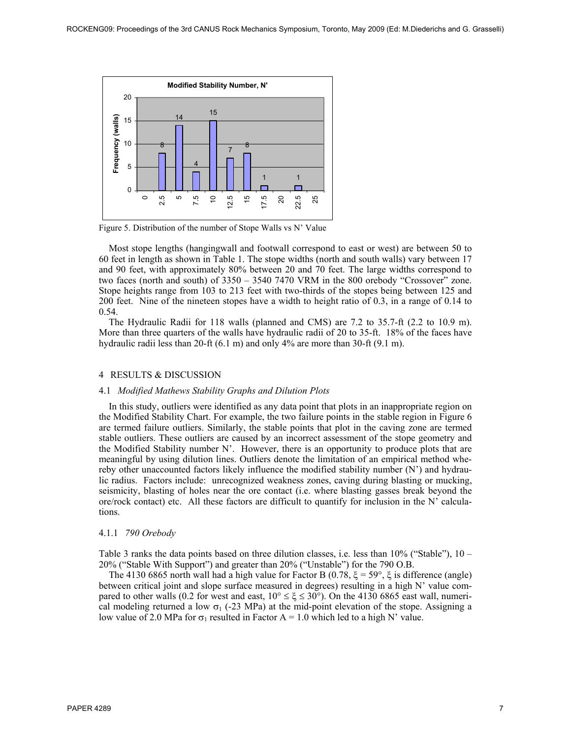

Figure 5. Distribution of the number of Stope Walls vs N' Value

Most stope lengths (hangingwall and footwall correspond to east or west) are between 50 to 60 feet in length as shown in Table 1. The stope widths (north and south walls) vary between 17 and 90 feet, with approximately 80% between 20 and 70 feet. The large widths correspond to two faces (north and south) of 3350 – 3540 7470 VRM in the 800 orebody "Crossover" zone. Stope heights range from 103 to 213 feet with two-thirds of the stopes being between 125 and 200 feet. Nine of the nineteen stopes have a width to height ratio of 0.3, in a range of 0.14 to 0.54.

The Hydraulic Radii for 118 walls (planned and CMS) are 7.2 to 35.7-ft (2.2 to 10.9 m). More than three quarters of the walls have hydraulic radii of 20 to 35-ft. 18% of the faces have hydraulic radii less than 20-ft (6.1 m) and only 4% are more than 30-ft (9.1 m).

## 4 RESULTS & DISCUSSION

#### 4.1 *Modified Mathews Stability Graphs and Dilution Plots*

In this study, outliers were identified as any data point that plots in an inappropriate region on the Modified Stability Chart. For example, the two failure points in the stable region in Figure 6 are termed failure outliers. Similarly, the stable points that plot in the caving zone are termed stable outliers. These outliers are caused by an incorrect assessment of the stope geometry and the Modified Stability number N'. However, there is an opportunity to produce plots that are meaningful by using dilution lines. Outliers denote the limitation of an empirical method whereby other unaccounted factors likely influence the modified stability number (N') and hydraulic radius. Factors include: unrecognized weakness zones, caving during blasting or mucking, seismicity, blasting of holes near the ore contact (i.e. where blasting gasses break beyond the ore/rock contact) etc. All these factors are difficult to quantify for inclusion in the  $N'$  calculations.

## 4.1.1 *790 Orebody*

Table 3 ranks the data points based on three dilution classes, i.e. less than  $10\%$  ("Stable"),  $10 -$ 20% ("Stable With Support") and greater than 20% ("Unstable") for the 790 O.B.

The 4130 6865 north wall had a high value for Factor B (0.78,  $\xi = 59^\circ$ ,  $\xi$  is difference (angle) between critical joint and slope surface measured in degrees) resulting in a high N' value compared to other walls (0.2 for west and east,  $10^{\circ} \le \xi \le 30^{\circ}$ ). On the 4130 6865 east wall, numerical modeling returned a low  $\sigma_1$  (-23 MPa) at the mid-point elevation of the stope. Assigning a low value of 2.0 MPa for  $\sigma_1$  resulted in Factor A = 1.0 which led to a high N' value.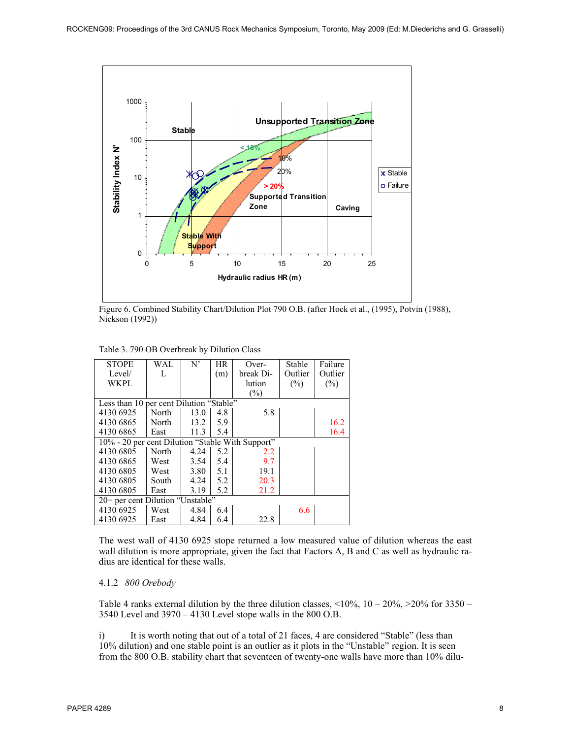

Figure 6. Combined Stability Chart/Dilution Plot 790 O.B. (after Hoek et al., (1995), Potvin (1988), Nickson (1992))

| Table 3. 790 OB Overbreak by Dilution Class |  |
|---------------------------------------------|--|
|---------------------------------------------|--|

| <b>STOPE</b>                                     | <b>WAL</b>                              | N'   | <b>HR</b> | Over-     | Stable  | Failure |  |  |  |  |
|--------------------------------------------------|-----------------------------------------|------|-----------|-----------|---------|---------|--|--|--|--|
| Level/                                           | L                                       |      | (m)       | break Di- | Outlier | Outlier |  |  |  |  |
| WKPL                                             |                                         |      |           | lution    | $(\%)$  | $(\% )$ |  |  |  |  |
|                                                  |                                         |      |           | $(\% )$   |         |         |  |  |  |  |
|                                                  | Less than 10 per cent Dilution "Stable" |      |           |           |         |         |  |  |  |  |
| 4130 6925                                        | North                                   | 13.0 | 4.8       | 5.8       |         |         |  |  |  |  |
| 4130 6865                                        | North                                   | 13.2 | 5.9       |           |         | 16.2    |  |  |  |  |
| 4130 6865                                        | East                                    | 11.3 | 5.4       |           |         | 16.4    |  |  |  |  |
| 10% - 20 per cent Dilution "Stable With Support" |                                         |      |           |           |         |         |  |  |  |  |
| 4130 6805                                        | North                                   | 4.24 | 5.2       | 2.2       |         |         |  |  |  |  |
| 4130 6865                                        | West                                    | 3.54 | 5.4       | 9.7       |         |         |  |  |  |  |
| 4130 6805                                        | West                                    | 3.80 | 5.1       | 19.1      |         |         |  |  |  |  |
| 4130 6805                                        | South                                   | 4.24 | 5.2       | 20.3      |         |         |  |  |  |  |
| 4130 6805                                        | East                                    | 3.19 | 5.2       | 21.2      |         |         |  |  |  |  |
| 20+ per cent Dilution "Unstable"                 |                                         |      |           |           |         |         |  |  |  |  |
| 4130 6925                                        | West                                    | 4.84 | 6.4       |           | 6.6     |         |  |  |  |  |
| 4130 6925                                        | East                                    | 4.84 | 6.4       | 22.8      |         |         |  |  |  |  |

The west wall of 4130 6925 stope returned a low measured value of dilution whereas the east wall dilution is more appropriate, given the fact that Factors A, B and C as well as hydraulic radius are identical for these walls.

## 4.1.2 *800 Orebody*

Table 4 ranks external dilution by the three dilution classes,  $\leq 10\%$ ,  $10 - 20\%$ ,  $\geq 20\%$  for 3350 – 3540 Level and 3970 – 4130 Level stope walls in the 800 O.B.

i) It is worth noting that out of a total of 21 faces, 4 are considered "Stable" (less than 10% dilution) and one stable point is an outlier as it plots in the "Unstable" region. It is seen from the 800 O.B. stability chart that seventeen of twenty-one walls have more than 10% dilu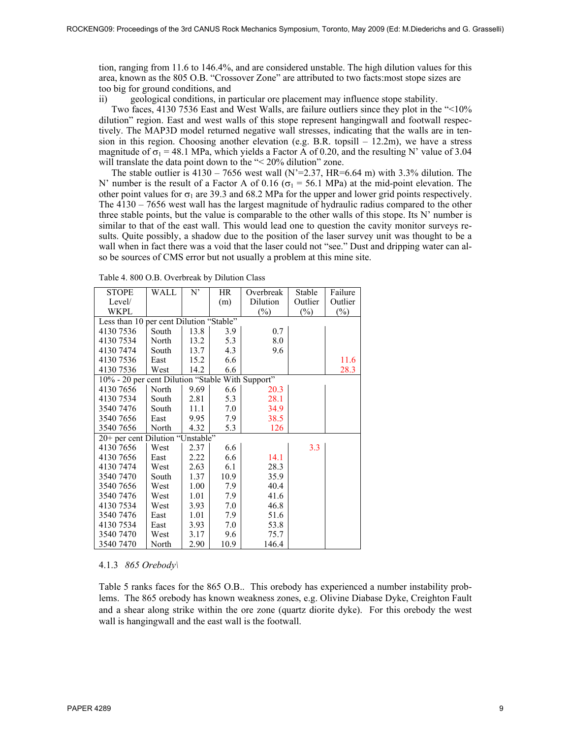tion, ranging from 11.6 to 146.4%, and are considered unstable. The high dilution values for this area, known as the 805 O.B. "Crossover Zone" are attributed to two facts:most stope sizes are too big for ground conditions, and

ii) geological conditions, in particular ore placement may influence stope stability.

Two faces, 4130 7536 East and West Walls, are failure outliers since they plot in the "<10% dilution" region. East and west walls of this stope represent hangingwall and footwall respectively. The MAP3D model returned negative wall stresses, indicating that the walls are in tension in this region. Choosing another elevation (e.g. B.R. topsill  $-12.2m$ ), we have a stress magnitude of  $\sigma_1$  = 48.1 MPa, which yields a Factor A of 0.20, and the resulting N' value of 3.04 will translate the data point down to the "<20% dilution" zone.

The stable outlier is  $4130 - 7656$  west wall (N'=2.37, HR=6.64 m) with 3.3% dilution. The N' number is the result of a Factor A of 0.16 ( $\sigma_1$  = 56.1 MPa) at the mid-point elevation. The other point values for  $\sigma_1$  are 39.3 and 68.2 MPa for the upper and lower grid points respectively. The 4130 – 7656 west wall has the largest magnitude of hydraulic radius compared to the other three stable points, but the value is comparable to the other walls of this stope. Its N' number is similar to that of the east wall. This would lead one to question the cavity monitor surveys results. Quite possibly, a shadow due to the position of the laser survey unit was thought to be a wall when in fact there was a void that the laser could not "see." Dust and dripping water can also be sources of CMS error but not usually a problem at this mine site.

| <b>STOPE</b>                                     | WALL  | N'   | HR.  | Overbreak | Stable  | Failure |
|--------------------------------------------------|-------|------|------|-----------|---------|---------|
| Level/                                           |       |      | (m)  | Dilution  | Outlier | Outlier |
| <b>WKPL</b>                                      |       |      |      | $(\%)$    | $(\%)$  | $(\%)$  |
| Less than 10 per cent Dilution "Stable"          |       |      |      |           |         |         |
| 4130 7536                                        | South | 13.8 | 3.9  | 0.7       |         |         |
| 4130 7534                                        | North | 13.2 | 5.3  | 8.0       |         |         |
| 4130 7474                                        | South | 13.7 | 4.3  | 9.6       |         |         |
| 4130 7536                                        | East  | 15.2 | 6.6  |           |         | 11.6    |
| 4130 7536                                        | West  | 14.2 | 6.6  |           |         | 28.3    |
| 10% - 20 per cent Dilution "Stable With Support" |       |      |      |           |         |         |
| 4130 7656                                        | North | 9.69 | 6.6  | 20.3      |         |         |
| 4130 7534                                        | South | 2.81 | 5.3  | 28.1      |         |         |
| 3540 7476                                        | South | 11.1 | 7.0  | 34.9      |         |         |
| 3540 7656                                        | East  | 9.95 | 7.9  | 38.5      |         |         |
| 3540 7656                                        | North | 4.32 | 5.3  | 126       |         |         |
| 20+ per cent Dilution "Unstable"                 |       |      |      |           |         |         |
| 4130 7656                                        | West  | 2.37 | 6.6  |           | 3.3     |         |
| 4130 7656                                        | East  | 2.22 | 6.6  | 14.1      |         |         |
| 4130 7474                                        | West  | 2.63 | 6.1  | 28.3      |         |         |
| 3540 7470                                        | South | 1.37 | 10.9 | 35.9      |         |         |
| 3540 7656                                        | West  | 1.00 | 7.9  | 40.4      |         |         |
| 3540 7476                                        | West  | 1.01 | 7.9  | 41.6      |         |         |
| 4130 7534                                        | West  | 3.93 | 7.0  | 46.8      |         |         |
| 3540 7476                                        | East  | 1.01 | 7.9  | 51.6      |         |         |
| 4130 7534                                        | East  | 3.93 | 7.0  | 53.8      |         |         |
| 3540 7470                                        | West  | 3.17 | 9.6  | 75.7      |         |         |
| 3540 7470                                        | North | 2.90 | 10.9 | 146.4     |         |         |

Table 4. 800 O.B. Overbreak by Dilution Class

#### 4.1.3 *865 Orebody\*

Table 5 ranks faces for the 865 O.B.. This orebody has experienced a number instability problems. The 865 orebody has known weakness zones, e.g. Olivine Diabase Dyke, Creighton Fault and a shear along strike within the ore zone (quartz diorite dyke). For this orebody the west wall is hangingwall and the east wall is the footwall.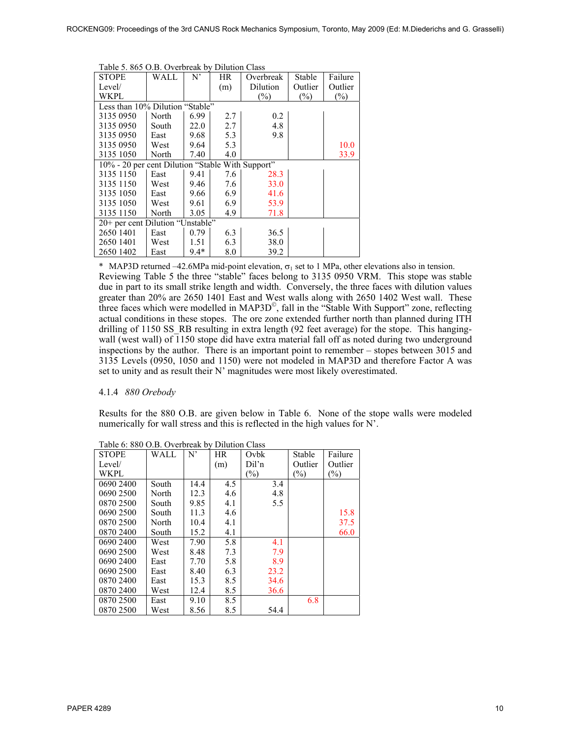| <b>STOPE</b>                                     | WALL  | N      | HR  | Overbreak | Stable  | Failure |  |  |
|--------------------------------------------------|-------|--------|-----|-----------|---------|---------|--|--|
| Level/                                           |       |        | (m) | Dilution  | Outlier | Outlier |  |  |
| WKPL                                             |       |        |     | (%)       | $(\%)$  | $(\%)$  |  |  |
| Less than 10% Dilution "Stable"                  |       |        |     |           |         |         |  |  |
| 3135 0950                                        | North | 6.99   | 2.7 | 0.2       |         |         |  |  |
| 3135 0950                                        | South | 22.0   | 2.7 | 4.8       |         |         |  |  |
| 3135 0950                                        | East  | 9.68   | 5.3 | 9.8       |         |         |  |  |
| 3135 0950                                        | West  | 9.64   | 5.3 |           |         | 10.0    |  |  |
| 3135 1050                                        | North | 7.40   | 4.0 |           |         | 33.9    |  |  |
| 10% - 20 per cent Dilution "Stable With Support" |       |        |     |           |         |         |  |  |
| 3135 1150                                        | East  | 9.41   | 7.6 | 28.3      |         |         |  |  |
| 3135 1150                                        | West  | 9.46   | 7.6 | 33.0      |         |         |  |  |
| 3135 1050                                        | East  | 9.66   | 6.9 | 41.6      |         |         |  |  |
| 3135 1050                                        | West  | 9.61   | 6.9 | 53.9      |         |         |  |  |
| 3135 1150                                        | North | 3.05   | 4.9 | 71.8      |         |         |  |  |
| 20+ per cent Dilution "Unstable"                 |       |        |     |           |         |         |  |  |
| 2650 1401                                        | East  | 0.79   | 6.3 | 36.5      |         |         |  |  |
| 2650 1401                                        | West  | 1.51   | 6.3 | 38.0      |         |         |  |  |
| 2650 1402                                        | East  | $9.4*$ | 8.0 | 39.2      |         |         |  |  |

Table 5. 865 O.B. Overbreak by Dilution Class

\* MAP3D returned  $-42.6$ MPa mid-point elevation,  $\sigma_1$  set to 1 MPa, other elevations also in tension. Reviewing Table 5 the three "stable" faces belong to 3135 0950 VRM. This stope was stable due in part to its small strike length and width. Conversely, the three faces with dilution values greater than 20% are 2650 1401 East and West walls along with 2650 1402 West wall. These three faces which were modelled in MAP3D©, fall in the "Stable With Support" zone, reflecting actual conditions in these stopes. The ore zone extended further north than planned during ITH drilling of 1150 SS RB resulting in extra length (92 feet average) for the stope. This hangingwall (west wall) of  $\frac{1150}{ }$  stope did have extra material fall off as noted during two underground inspections by the author. There is an important point to remember – stopes between 3015 and 3135 Levels (0950, 1050 and 1150) were not modeled in MAP3D and therefore Factor A was set to unity and as result their N' magnitudes were most likely overestimated.

# 4.1.4 *880 Orebody*

Results for the 880 O.B. are given below in Table 6. None of the stope walls were modeled numerically for wall stress and this is reflected in the high values for N'.

| <b>STOPE</b> | WALL  | N'   | <b>HR</b> | Ovbk   | Stable  | Failure |
|--------------|-------|------|-----------|--------|---------|---------|
| Level/       |       |      | (m)       | Dil'n  | Outlier | Outlier |
| WKPL         |       |      |           | $(\%)$ | $(\%)$  | $(\%)$  |
| 0690 2400    | South | 14.4 | 4.5       | 3.4    |         |         |
| 0690 2500    | North | 12.3 | 4.6       | 4.8    |         |         |
| 0870 2500    | South | 9.85 | 4.1       | 5.5    |         |         |
| 0690 2500    | South | 11.3 | 4.6       |        |         | 15.8    |
| 0870 2500    | North | 10.4 | 4.1       |        |         | 37.5    |
| 0870 2400    | South | 15.2 | 4.1       |        |         | 66.0    |
| 0690 2400    | West  | 7.90 | 5.8       | 4.1    |         |         |
| 0690 2500    | West  | 8.48 | 7.3       | 7.9    |         |         |
| 0690 2400    | East  | 7.70 | 5.8       | 8.9    |         |         |
| 0690 2500    | East  | 8.40 | 6.3       | 23.2   |         |         |
| 0870 2400    | East  | 15.3 | 8.5       | 34.6   |         |         |
| 0870 2400    | West  | 12.4 | 8.5       | 36.6   |         |         |
| 0870 2500    | East  | 9.10 | 8.5       |        | 6.8     |         |
| 0870 2500    | West  | 8.56 | 8.5       | 54.4   |         |         |

Table 6: 880 O.B. Overbreak by Dilution Class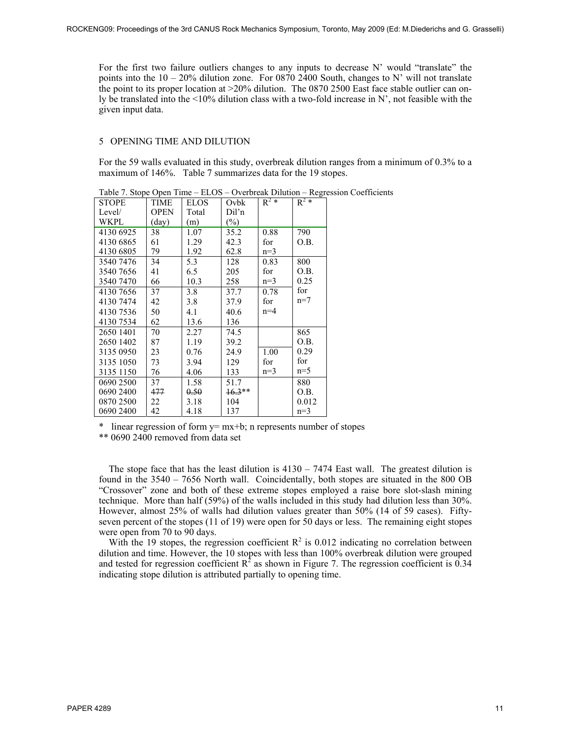For the first two failure outliers changes to any inputs to decrease N' would "translate" the points into the  $10 - 20\%$  dilution zone. For 0870 2400 South, changes to N' will not translate the point to its proper location at  $>20\%$  dilution. The 0870 2500 East face stable outlier can only be translated into the <10% dilution class with a two-fold increase in N', not feasible with the given input data.

## 5 OPENING TIME AND DILUTION

For the 59 walls evaluated in this study, overbreak dilution ranges from a minimum of 0.3% to a maximum of 146%. Table 7 summarizes data for the 19 stopes.

| <b>STOPE</b> | <b>TIME</b> | <b>ELOS</b> | Ovbk     | $R^2*$ | $R^2*$ |
|--------------|-------------|-------------|----------|--------|--------|
| Level/       | <b>OPEN</b> | Total       | Dil'n    |        |        |
| WKPL         | (day)       | (m)         | $(\%)$   |        |        |
| 4130 6925    | 38          | 1.07        | 35.2     | 0.88   | 790    |
| 4130 6865    | 61          | 1.29        | 42.3     | for    | O.B.   |
| 4130 6805    | 79          | 1.92        | 62.8     | $n=3$  |        |
| 3540 7476    | 34          | 5.3         | 128      | 0.83   | 800    |
| 3540 7656    | 41          | 6.5         | 205      | for    | O.B.   |
| 3540 7470    | 66          | 10.3        | 258      | $n=3$  | 0.25   |
| 4130 7656    | 37          | 3.8         | 37.7     | 0.78   | for    |
| 4130 7474    | 42          | 3.8         | 37.9     | for    | $n=7$  |
| 4130 7536    | 50          | 4.1         | 40.6     | $n=4$  |        |
| 4130 7534    | 62          | 13.6        | 136      |        |        |
| 2650 1401    | 70          | 2.27        | 74.5     |        | 865    |
| 2650 1402    | 87          | 1.19        | 39.2     |        | O.B.   |
| 3135 0950    | 23          | 0.76        | 24.9     | 1.00   | 0.29   |
| 3135 1050    | 73          | 3.94        | 129      | for    | for    |
| 3135 1150    | 76          | 4.06        | 133      | $n=3$  | $n=5$  |
| 0690 2500    | 37          | 1.58        | 51.7     |        | 880    |
| 0690 2400    | 477         | 0.50        | $16.3**$ |        | O.B.   |
| 0870 2500    | 22          | 3.18        | 104      |        | 0.012  |
| 0690 2400    | 42          | 4.18        | 137      |        | $n=3$  |

Table 7. Stope Open Time – ELOS – Overbreak Dilution – Regression Coefficients

\* linear regression of form  $y=mx+b$ ; n represents number of stopes

\*\* 0690 2400 removed from data set

The stope face that has the least dilution is  $4130 - 7474$  East wall. The greatest dilution is found in the 3540 – 7656 North wall. Coincidentally, both stopes are situated in the 800 OB "Crossover" zone and both of these extreme stopes employed a raise bore slot-slash mining technique. More than half (59%) of the walls included in this study had dilution less than 30%. However, almost 25% of walls had dilution values greater than 50% (14 of 59 cases). Fiftyseven percent of the stopes (11 of 19) were open for 50 days or less. The remaining eight stopes were open from 70 to 90 days.

With the 19 stopes, the regression coefficient  $R^2$  is 0.012 indicating no correlation between dilution and time. However, the 10 stopes with less than 100% overbreak dilution were grouped and tested for regression coefficient  $R^2$  as shown in Figure 7. The regression coefficient is 0.34 indicating stope dilution is attributed partially to opening time.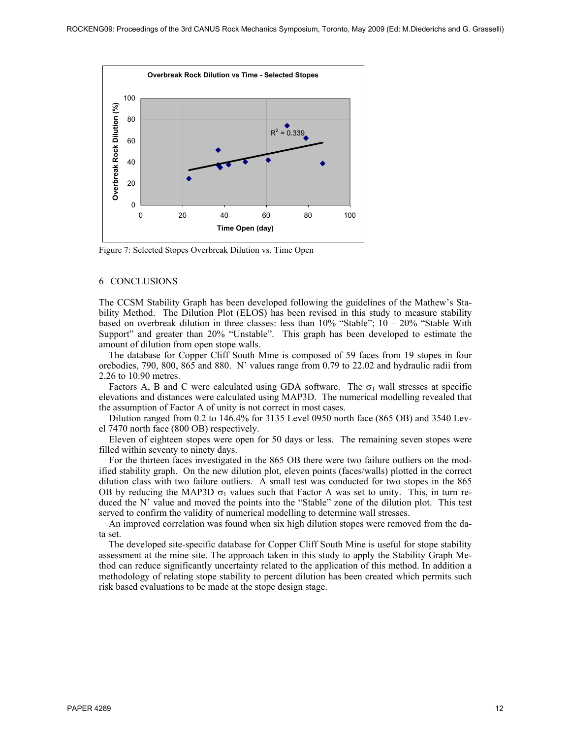

Figure 7: Selected Stopes Overbreak Dilution vs. Time Open

#### 6 CONCLUSIONS

The CCSM Stability Graph has been developed following the guidelines of the Mathew's Stability Method. The Dilution Plot (ELOS) has been revised in this study to measure stability based on overbreak dilution in three classes: less than  $10\%$  "Stable";  $10 - 20\%$  "Stable With Support" and greater than 20% "Unstable". This graph has been developed to estimate the amount of dilution from open stope walls.

The database for Copper Cliff South Mine is composed of 59 faces from 19 stopes in four orebodies, 790, 800, 865 and 880. N' values range from 0.79 to 22.02 and hydraulic radii from 2.26 to 10.90 metres.

Factors A, B and C were calculated using GDA software. The  $\sigma_1$  wall stresses at specific elevations and distances were calculated using MAP3D. The numerical modelling revealed that the assumption of Factor A of unity is not correct in most cases.

Dilution ranged from 0.2 to 146.4% for 3135 Level 0950 north face (865 OB) and 3540 Level 7470 north face (800 OB) respectively.

Eleven of eighteen stopes were open for 50 days or less. The remaining seven stopes were filled within seventy to ninety days.

For the thirteen faces investigated in the 865 OB there were two failure outliers on the modified stability graph. On the new dilution plot, eleven points (faces/walls) plotted in the correct dilution class with two failure outliers. A small test was conducted for two stopes in the 865 OB by reducing the MAP3D  $\sigma_1$  values such that Factor A was set to unity. This, in turn reduced the N' value and moved the points into the "Stable" zone of the dilution plot. This test served to confirm the validity of numerical modelling to determine wall stresses.

An improved correlation was found when six high dilution stopes were removed from the data set.

The developed site-specific database for Copper Cliff South Mine is useful for stope stability assessment at the mine site. The approach taken in this study to apply the Stability Graph Method can reduce significantly uncertainty related to the application of this method. In addition a methodology of relating stope stability to percent dilution has been created which permits such risk based evaluations to be made at the stope design stage.